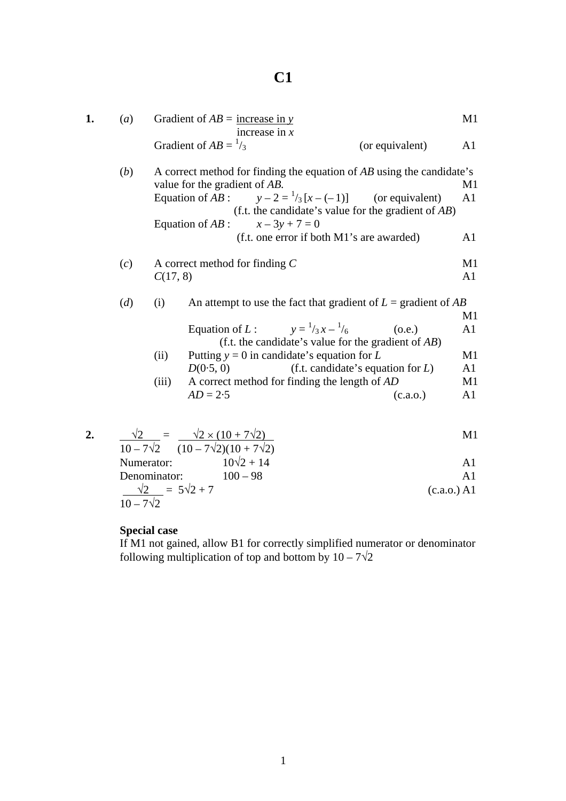## **C1**

| 1. | (a)              |                                                                                                                                                                                                                                                                                                                         | Gradient of $AB =$ increase in y<br>increase in $x$                                                                                                                          |  |                                                                                                                                                                                          | M1                                                       |
|----|------------------|-------------------------------------------------------------------------------------------------------------------------------------------------------------------------------------------------------------------------------------------------------------------------------------------------------------------------|------------------------------------------------------------------------------------------------------------------------------------------------------------------------------|--|------------------------------------------------------------------------------------------------------------------------------------------------------------------------------------------|----------------------------------------------------------|
|    |                  |                                                                                                                                                                                                                                                                                                                         | Gradient of $AB = \frac{1}{3}$                                                                                                                                               |  | (or equivalent)                                                                                                                                                                          | A <sub>1</sub>                                           |
|    | (b)              | A correct method for finding the equation of $AB$ using the candidate's<br>value for the gradient of AB.<br>Equation of AB : $y-2=\frac{1}{3}[x-(-1)]$ (or equivalent)<br>(f.t. the candidate's value for the gradient of $AB$ )<br>Equation of $AB$ :<br>$x - 3y + 7 = 0$<br>(f.t. one error if both M1's are awarded) |                                                                                                                                                                              |  | M1<br>A1<br>A <sub>1</sub>                                                                                                                                                               |                                                          |
|    | (c)              | C(17, 8)                                                                                                                                                                                                                                                                                                                | A correct method for finding $C$                                                                                                                                             |  |                                                                                                                                                                                          | M1<br>A <sub>1</sub>                                     |
|    | (d)              | (i)<br>(ii)<br>(iii)                                                                                                                                                                                                                                                                                                    | Equation of L: $y = \frac{1}{3}x - \frac{1}{6}$<br>Putting $y = 0$ in candidate's equation for L<br>D(0.5, 0)<br>A correct method for finding the length of AD<br>$AD = 2.5$ |  | An attempt to use the fact that gradient of $L =$ gradient of AB<br>(0.e.)<br>(f.t. the candidate's value for the gradient of $AB$ )<br>(f.t. candidate's equation for $L$ )<br>(c.a.o.) | M1<br>A <sub>1</sub><br>M1<br>A1<br>M1<br>A <sub>1</sub> |
| 2. | $10 - 7\sqrt{2}$ | Numerator:<br>Denominator:<br>$\frac{\sqrt{2}}{2}$ = 5 $\sqrt{2}$ + 7                                                                                                                                                                                                                                                   | $\frac{\sqrt{2}}{10-7\sqrt{2}} = \frac{\sqrt{2} \times (10+7\sqrt{2})}{(10-7\sqrt{2})(10+7\sqrt{2})}$<br>$10\sqrt{2} + 14$<br>$100 - 98$                                     |  | (c.a.o.) A1                                                                                                                                                                              | M1<br>A <sub>1</sub><br>A1                               |

## **Special case**

 If M1 not gained, allow B1 for correctly simplified numerator or denominator following multiplication of top and bottom by  $10 - 7\sqrt{2}$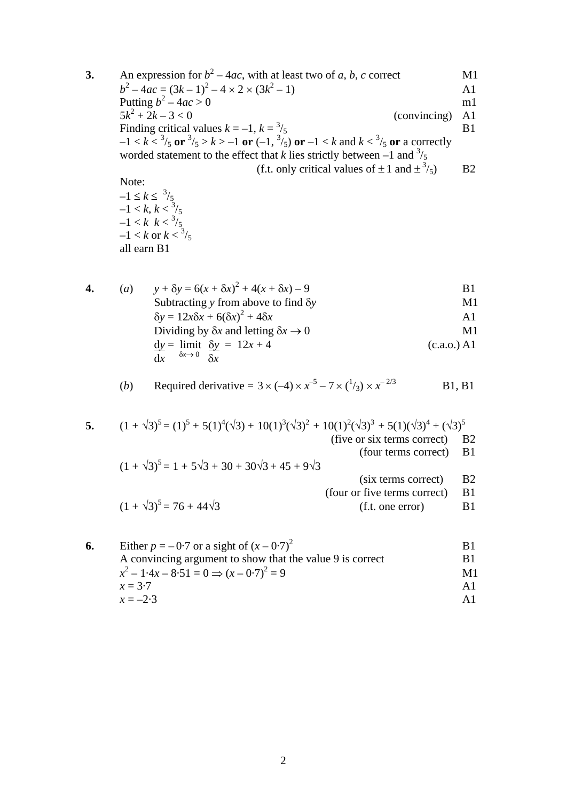**3.** An expression for  $b^2 - 4ac$ , with at least two of *a*, *b*, *c* correct M1  $b^2 - 4ac = (3k - 1)^2 - 4 \times 2 \times (3k^2 - 1)$  A1 Putting  $b^2 - 4ac > 0$  m1  $5k^2 + 2k - 3 < 0$  (convincing) A1 Finding critical values  $k = -1$ ,  $k = \frac{3}{5}$  B1  $-1 < k < \frac{3}{5}$  or  $\frac{3}{5} > k > -1$  or  $(-1, \frac{3}{5})$  or  $-1 < k$  and  $k < \frac{3}{5}$  or a correctly worded statement to the effect that *k* lies strictly between  $-1$  and  $\frac{3}{5}$ (f.t. only critical values of  $\pm 1$  and  $\pm \frac{3}{5}$ ) /5) B2 Note:  $-1 \leq k \leq \frac{3}{5}$  $-1 < k, k < \frac{3}{5}$  $-1 < k \leq \frac{3}{5}$ 

4. (a) 
$$
y + \delta y = 6(x + \delta x)^2 + 4(x + \delta x) - 9
$$
  
\nSubtracting y from above to find  $\delta y$   
\n $\delta y = 12x\delta x + 6(\delta x)^2 + 4\delta x$   
\nDividing by  $\delta x$  and letting  $\delta x \rightarrow 0$   
\n $\underline{dy} = \lim_{\delta x \to 0} \frac{\delta y}{\delta x} = 12x + 4$   
\n $\underline{dy} = 12x + 4$   
\n(b) (c.a.o.) A1

 $-1 < k$  or  $k < \frac{3}{5}$ all earn B1

(b) Required derivative = 
$$
3 \times (-4) \times x^{-5} - 7 \times (\frac{1}{3}) \times x^{-2/3}
$$
 B1, B1

5. 
$$
(1 + \sqrt{3})^5 = (1)^5 + 5(1)^4(\sqrt{3}) + 10(1)^3(\sqrt{3})^2 + 10(1)^2(\sqrt{3})^3 + 5(1)(\sqrt{3})^4 + (\sqrt{3})^5
$$
 (five or six terms correct) B2  
\n(four terms correct) B1  
\n
$$
(1 + \sqrt{3})^5 = 1 + 5\sqrt{3} + 30 + 30\sqrt{3} + 45 + 9\sqrt{3}
$$
 (six terms correct) B2  
\n(four or five terms correct) B1  
\n(f.t. one error) B1

| 6. | Either $p = -0.7$ or a sight of $(x - 0.7)^2$             | B.             |
|----|-----------------------------------------------------------|----------------|
|    | A convincing argument to show that the value 9 is correct | B1             |
|    | $x^{2} - 1.4x - 8.51 = 0 \implies (x - 0.7)^{2} = 9$      | M1             |
|    | $x = 3.7$                                                 | $\mathbf{A}$   |
|    | $x = -2.3$                                                | $\mathbf{A}$ 1 |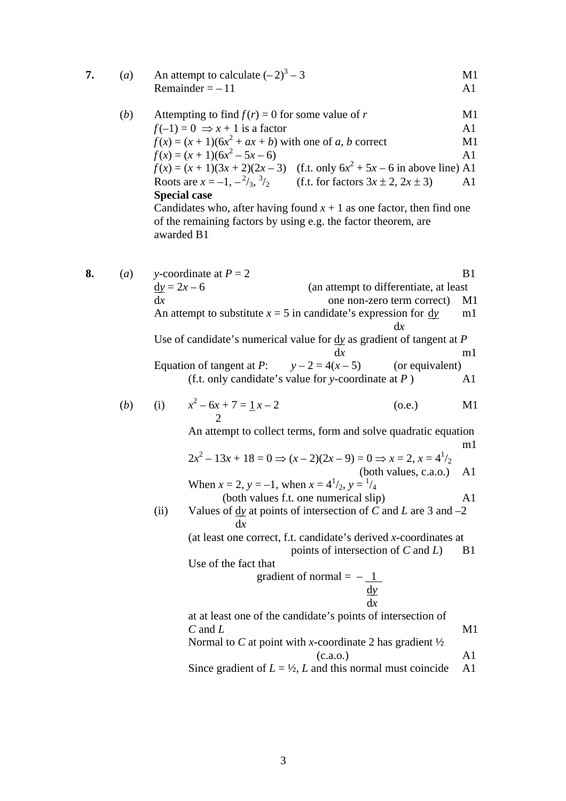|  | An attempt to calculate $(-2)^3 - 3$ | M1. |
|--|--------------------------------------|-----|
|  | Remainder $= -11$                    |     |

| (b) |  | Attempting to find $f(r) = 0$ for some value of r              |                                                                                        | M1             |
|-----|--|----------------------------------------------------------------|----------------------------------------------------------------------------------------|----------------|
|     |  | $f(-1) = 0 \Rightarrow x + 1$ is a factor                      |                                                                                        | A <sub>1</sub> |
|     |  | $f(x) = (x + 1)(6x2 + ax + b)$ with one of a, b correct        |                                                                                        | M1             |
|     |  | $f(x) = (x + 1)(6x^2 - 5x - 6)$                                |                                                                                        | A <sub>1</sub> |
|     |  |                                                                | $f(x) = (x + 1)(3x + 2)(2x - 3)$ (f.t. only $6x2 + 5x - 6$ in above line) A1           |                |
|     |  |                                                                | Roots are $x = -1, -\frac{2}{3}, \frac{3}{2}$ (f.t. for factors $3x \pm 2, 2x \pm 3$ ) | A <sup>1</sup> |
|     |  | <b>Special case</b>                                            |                                                                                        |                |
|     |  |                                                                | Candidates who, after having found $x + 1$ as one factor, then find one                |                |
|     |  | of the remaining factors by using e.g. the factor theorem, are |                                                                                        |                |
|     |  | awarded B1                                                     |                                                                                        |                |

**8.** (*a*) *y*-coordinate at  $P = 2$  B1  $dy = 2x - 6$  (an attempt to differentiate, at least dx one non-zero term correct) M1 An attempt to substitute  $x = 5$  in candidate's expression for dy m1 d*x* Use of candidate's numerical value for d*y* as gradient of tangent at *P*  d*x* m1 Equation of tangent at *P*:  $y - 2 = 4(x - 5)$  (or equivalent) (f.t. only candidate's value for *y*-coordinate at *P* ) A1  $(b)$  (i)  $2^2 - 6x + 7 = 1x - 2$  (o.e.) M1 2 An attempt to collect terms, form and solve quadratic equation m1  $2x^2 - 13x + 18 = 0 \Rightarrow (x - 2)(2x - 9) = 0 \Rightarrow x = 2, x = 4^{\frac{1}{2}}$  (both values, c.a.o.) A1 When  $x = 2$ ,  $y = -1$ , when  $x = 4^{1}/_2$ ,  $y = 1/4$  (both values f.t. one numerical slip) A1 (ii) Values of  $\frac{dy}{dx}$  at points of intersection of *C* and *L* are 3 and –2 d*x* (at least one correct, f.t. candidate's derived *x*-coordinates at points of intersection of *C* and *L*) B1 Use of the fact that gradient of normal  $=$   $-1$ d<sub>y</sub> d*x* at at least one of the candidate's points of intersection of  $C$  and  $L$  M1 Normal to *C* at point with *x*-coordinate 2 has gradient ½  $(c.a.o.)$  A1 Since gradient of  $L = \frac{1}{2}$ , *L* and this normal must coincide A1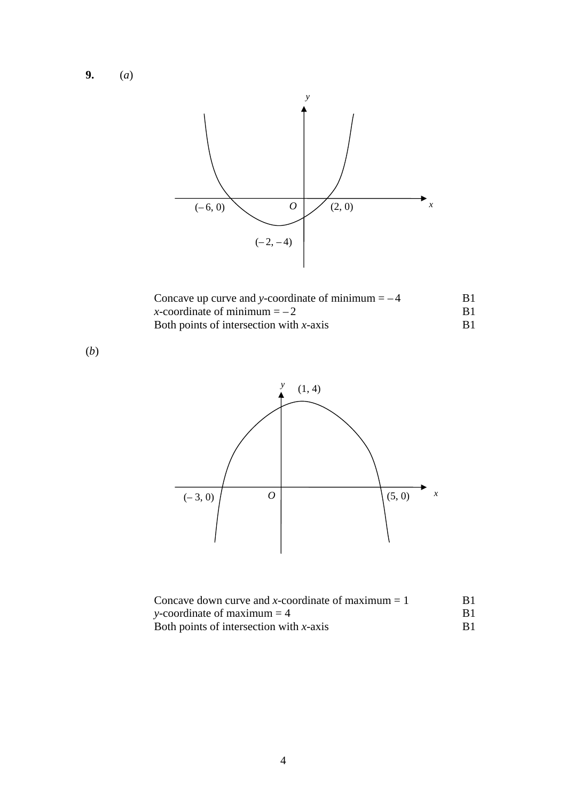**9.** (*a*)



| Concave up curve and y-coordinate of minimum $=-4$ | B1    |
|----------------------------------------------------|-------|
| x-coordinate of minimum $=-2$                      |       |
| Both points of intersection with $x$ -axis         | - R 1 |

(*b*)



| Concave down curve and x-coordinate of maximum $= 1$ | B1.        |
|------------------------------------------------------|------------|
| y-coordinate of maximum $=$ 4                        | <b>B</b> 1 |
| Both points of intersection with $x$ -axis           |            |